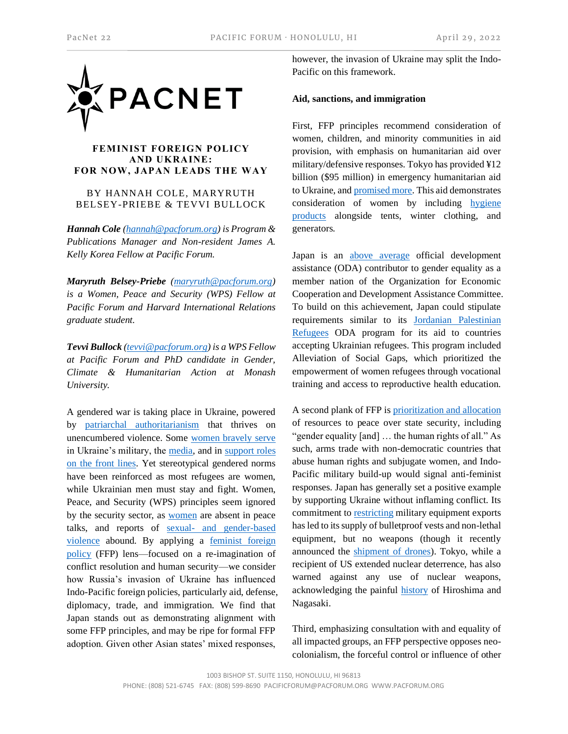

## **FEMINIST FOREIGN POLICY AND UKRAINE: FOR NOW, JAPAN LEADS THE WAY**

BY HANNAH COLE, MARYRUTH BELSEY-PRIEBE & TEVVI BULLOCK

*Hannah Cole [\(hannah@pacforum.org\)](mailto:hannah@pacforum.org) is Program & Publications Manager and Non-resident James A. Kelly Korea Fellow at Pacific Forum.* 

*Maryruth Belsey-Priebe [\(maryruth@pacforum.org\)](mailto:maryruth@pacforum.org) is a Women, Peace and Security (WPS) Fellow at Pacific Forum and Harvard International Relations graduate student.* 

*Tevvi Bullock [\(tevvi@pacforum.org\)](mailto:tevvi@pacforum.org) is a WPS Fellow at Pacific Forum and PhD candidate in Gender, Climate & Humanitarian Action at Monash University.* 

A gendered war is taking place in Ukraine, powered by [patriarchal authoritarianism](https://theconversation.com/vladimir-putin-the-czar-of-macho-politics-is-threatened-by-gender-and-sexuality-rights-180473) that thrives on unencumbered violence. Some [women bravely serve](https://www.npr.org/2022/03/19/1087712539/ukrainian-women-are-volunteering-to-fight-and-history-shows-they-always-have) in Ukraine's military, the [media,](https://foreignpolicy.com/2022/03/20/ukrainian-women-in-the-frontlines-but-not-the-headlines/) and in [support roles](https://foreignpolicy.com/2022/03/20/ukrainian-women-in-the-frontlines-but-not-the-headlines/)  [on the front lines.](https://foreignpolicy.com/2022/03/20/ukrainian-women-in-the-frontlines-but-not-the-headlines/) Yet stereotypical gendered norms have been reinforced as most refugees are women, while Ukrainian men must stay and fight. Women, Peace, and Security (WPS) principles seem ignored by the security sector, as **women** are absent in peace talks, and reports of sexual- [and gender-based](https://www.internationalaffairs.org.au/australianoutlook/weapon-of-war-in-europe-the-escalation-of-sexual-and-gender-based-violence-in-ukraine-russia-conflict/)  [violence](https://www.internationalaffairs.org.au/australianoutlook/weapon-of-war-in-europe-the-escalation-of-sexual-and-gender-based-violence-in-ukraine-russia-conflict/) abound. By applying a [feminist foreign](https://www.icrw.org/wp-content/uploads/2022/01/FFP-2021Update_v4.pdf)  [policy](https://www.icrw.org/wp-content/uploads/2022/01/FFP-2021Update_v4.pdf) (FFP) lens—focused on a re-imagination of conflict resolution and human security—we consider how Russia's invasion of Ukraine has influenced Indo-Pacific foreign policies, particularly aid, defense, diplomacy, trade, and immigration. We find that Japan stands out as demonstrating alignment with some FFP principles, and may be ripe for formal FFP adoption. Given other Asian states' mixed responses,

however, the invasion of Ukraine may split the Indo-Pacific on this framework.

## **Aid, sanctions, and immigration**

First, FFP principles recommend consideration of women, children, and minority communities in aid provision, with emphasis on humanitarian aid over military/defensive responses. Tokyo has provided ¥12 billion (\$95 million) in emergency humanitarian aid to Ukraine, an[d promised more.](https://www.japantimes.co.jp/news/2022/03/22/national/japan-more-ukraine-aid/) This aid demonstrates consideration of women by including [hygiene](https://english.kyodonews.net/news/2022/03/a6f5f7727017-urgent-japan-to-provide-bullet-proof-vests-other-goods-to-ukraine.html)  [products](https://english.kyodonews.net/news/2022/03/a6f5f7727017-urgent-japan-to-provide-bullet-proof-vests-other-goods-to-ukraine.html) alongside tents, winter clothing, and generators.

Japan is an [above average](https://www.icrw.org/wp-content/uploads/2022/01/FFP-2021Update_v4.pdf) official development assistance (ODA) contributor to gender equality as a member nation of the Organization for Economic Cooperation and Development Assistance Committee. To build on this achievement, Japan could stipulate requirements similar to its [Jordanian Palestinian](https://www.jica.go.jp/jordan/english/activities/activity02.html)  [Refugees](https://www.jica.go.jp/jordan/english/activities/activity02.html) ODA program for its aid to countries accepting Ukrainian refugees. This program included Alleviation of Social Gaps*,* which prioritized the empowerment of women refugees through vocational training and access to reproductive health education.

A second plank of FFP i[s prioritization and allocation](https://www.icrw.org/wp-content/uploads/2022/01/FFP-2021Update_v4.pdf) of resources to peace over state security, including "gender equality [and] … the human rights of all." As such, arms trade with non-democratic countries that abuse human rights and subjugate women, and Indo-Pacific military build-up would signal anti-feminist responses. Japan has generally set a positive example by supporting Ukraine without inflaming conflict. Its commitment t[o restricting](https://www.wsj.com/livecoverage/russia-ukraine-latest-news-2022-03-04/card/japan-will-send-the-ukrainian-military-basic-supplies-VOtpnPjTX2ooK8dqQ8o8) military equipment exports has led to its supply of bulletproof vests and non-lethal equipment, but no weapons (though it recently announced the [shipment of drones\)](https://www.japantimes.co.jp/news/2022/04/19/national/japan-ukraine-chemical-masks-suits/). Tokyo, while a recipient of US extended nuclear deterrence, has also warned against any use of nuclear weapons, acknowledging the painful **history** of Hiroshima and Nagasaki.

Third, emphasizing consultation with and equality of all impacted groups, an FFP perspective opposes neocolonialism, the forceful control or influence of other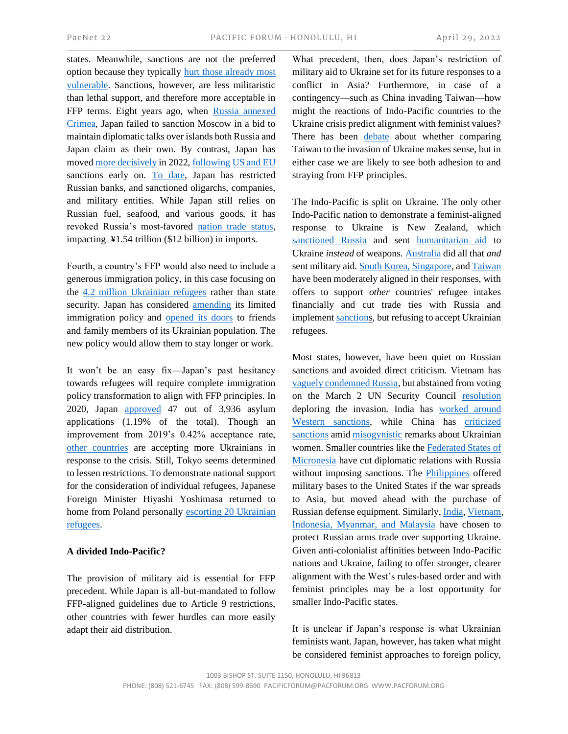states. Meanwhile, sanctions are not the preferred option because they typically [hurt those already most](https://news.un.org/en/story/2021/12/1107492)  [vulnerable.](https://news.un.org/en/story/2021/12/1107492) Sanctions, however, are less militaristic than lethal support, and therefore more acceptable in FFP terms. Eight years ago, when [Russia annexed](https://www.nytimes.com/2022/02/24/world/europe/japan-russia-sanctions.html)  [Crimea,](https://www.nytimes.com/2022/02/24/world/europe/japan-russia-sanctions.html) Japan failed to sanction Moscow in a bid to maintain diplomatic talks over islands both Russia and Japan claim as their own. By contrast, Japan has move[d more decisively](https://www.piie.com/blogs/realtime-economic-issues-watch/russias-war-ukraine-sanctions-timeline) in 2022[, following](https://graphics.reuters.com/UKRAINE-CRISIS/SANCTIONS/byvrjenzmve/) [US and EU](https://www.piie.com/blogs/realtime-economic-issues-watch/russias-war-ukraine-sanctions-timeline) sanctions early on. [To date,](https://graphics.reuters.com/UKRAINE-CRISIS/SANCTIONS/byvrjenzmve/) Japan has restricted Russian banks, and sanctioned oligarchs, companies, and military entities. While Japan still relies on Russian fuel, seafood, and various goods, it has revoked Russia's most-favored [nation trade status,](https://www.japantimes.co.jp/news/2022/04/07/national/politics-diplomacy/more-russia-sanctions-ukraine-massacre/) impacting ¥1.54 trillion (\$12 billion) in imports.

Fourth, a country's FFP would also need to include a generous immigration policy, in this case focusing on the [4.2 million Ukrainian refugees](https://data2.unhcr.org/en/situations/ukraine) rather than state security. Japan has considered **amending** its limited immigration policy and [opened its doors](https://asia.nikkei.com/Politics/Ukraine-war/Ukraine-war-tests-Japan-s-refugee-policy-that-admits-just-1) to friends and family members of its Ukrainian population. The new policy would allow them to stay longer or work.

It won't be an easy fix—Japan's past hesitancy towards refugees will require complete immigration policy transformation to align with FFP principles. In 2020, Japan [approved](https://asia.nikkei.com/Politics/Ukraine-war/Ukraine-war-tests-Japan-s-refugee-policy-that-admits-just-1) 47 out of 3,936 asylum applications (1.19% of the total). Though an improvement from 2019's 0.42% acceptance rate, [other countries](https://www.abc.net.au/news/2022-03-20/scott-morrison-visas-ukraine-military-humanitarian-aid/100925064) are accepting more Ukrainians in response to the crisis. Still, Tokyo seems determined to lessen restrictions. To demonstrate national support for the consideration of individual refugees, Japanese Foreign Minister Hiyashi Yoshimasa returned to home from Poland personally [escorting 20 Ukrainian](https://english.kyodonews.net/news/2022/04/b5ccaa9c2db7-japan-poland-foreign-ministers-discuss-ukraine-evacuees-airlift.html)  [refugees.](https://english.kyodonews.net/news/2022/04/b5ccaa9c2db7-japan-poland-foreign-ministers-discuss-ukraine-evacuees-airlift.html)

## **A divided Indo-Pacific?**

The provision of military aid is essential for FFP precedent. While Japan is all-but-mandated to follow FFP-aligned guidelines due to Article 9 restrictions, other countries with fewer hurdles can more easily adapt their aid distribution.

What precedent, then, does Japan's restriction of military aid to Ukraine set for its future responses to a conflict in Asia? Furthermore, in case of a contingency—such as China invading Taiwan—how might the reactions of Indo-Pacific countries to the Ukraine crisis predict alignment with feminist values? There has been [debate](https://www.usip.org/publications/2022/03/china-not-russia-taiwan-not-ukraine) about whether comparing Taiwan to the invasion of Ukraine makes sense, but in either case we are likely to see both adhesion to and straying from FFP principles.

The Indo-Pacific is split on Ukraine. The only other Indo-Pacific nation to demonstrate a feminist-aligned response to Ukraine is New Zealand, which [sanctioned Russia](https://graphics.reuters.com/UKRAINE-CRISIS/SANCTIONS/byvrjenzmve/) and sent [humanitarian aid](https://www.dailymail.co.uk/news/article-10567795/New-Zealand-refuses-send-weapons-help-Ukraine-repel-Russian-invaders.html) to Ukraine *instead* of weapons[. Australia](https://graphics.reuters.com/UKRAINE-CRISIS/SANCTIONS/byvrjenzmve/) did all that *and* sent military aid[. South Korea,](https://reliefweb.int/report/ukraine/korea-provide-humanitarian-assistance-people-ukraine) [Singapore,](https://www.todayonline.com/singapore/singapore-red-cross-aid-ukraine-1864766) an[d Taiwan](https://www.taipeitimes.com/News/editorials/archives/2022/03/24/2003775348) have been moderately aligned in their responses, with offers to support *other* countries' refugee intakes financially and cut trade ties with Russia and implemen[t sanctions](https://graphics.reuters.com/UKRAINE-CRISIS/SANCTIONS/byvrjenzmve/), but refusing to accept Ukrainian refugees.

Most states, however, have been quiet on Russian sanctions and avoided direct criticism. Vietnam has [vaguely condemned Russia,](https://thediplomat.com/2022/03/russias-invasion-of-ukraine-the-diplomatic-dilemma-facing-vietnam/) but abstained from voting on the March 2 UN Security Council [resolution](https://news.un.org/en/story/2022/03/1113152) deploring the invasion. India has [worked around](https://www.cnbctv18.com/economy/rupee-ruble-trade-to-be-ready-by-next-week-report-12931362.htm)  [Western sanctions,](https://www.cnbctv18.com/economy/rupee-ruble-trade-to-be-ready-by-next-week-report-12931362.htm) while China has [criticized](https://www.thestar.com/news/canada/2022/02/25/does-china-support-the-russian-invasion-of-ukraine.html)  [sanctions](https://www.thestar.com/news/canada/2022/02/25/does-china-support-the-russian-invasion-of-ukraine.html) amid [misogynistic](https://www.cfr.org/in-brief/china-russia-war-ukraine-taiwan-putin-xi) remarks about Ukrainian women. Smaller countries like the [Federated States of](https://www.mvariety.com/news/fsm-severs-diplomatic-relations-with-russia/article_79027fe8-9601-11ec-b64f-d3392c334c01.html)  [Micronesia](https://www.mvariety.com/news/fsm-severs-diplomatic-relations-with-russia/article_79027fe8-9601-11ec-b64f-d3392c334c01.html) have cut diplomatic relations with Russia without imposing sanctions. The [Philippines](https://www.scmp.com/week-asia/opinion/article/3170811/why-philippines-offered-open-bases-us-use-if-ukraine-war-spreads) offered military bases to the United States if the war spreads to Asia, but moved ahead with the purchase of Russian defense equipment. Similarly[, India,](https://indianexpress.com/article/explained/india-russia-military-weapons-defence-ties-7795804/) [Vietnam,](https://www.aljazeera.com/news/2022/3/9/infographic-which-countries-buy-the-most-russian-weapons) [Indonesia, Myanmar, and Malaysia](https://www.cfr.org/blog/russias-continuing-ties-southeast-asia-and-how-they-factor-ukraine-war-part-1) have chosen to protect Russian arms trade over supporting Ukraine. Given anti-colonialist affinities between Indo-Pacific nations and Ukraine, failing to offer stronger, clearer alignment with the West's rules-based order and with feminist principles may be a lost opportunity for smaller Indo-Pacific states.

It is unclear if Japan's response is what Ukrainian feminists want. Japan, however, has taken what might be considered feminist approaches to foreign policy,